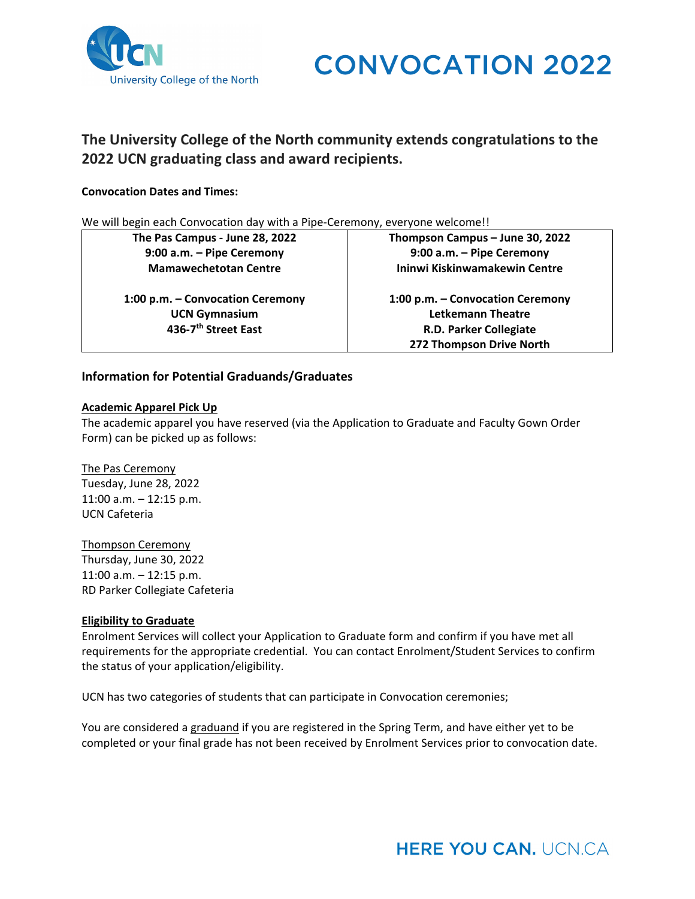

# **The University College of the North community extends congratulations to the 2022 UCN graduating class and award recipients.**

# **Convocation Dates and Times:**

We will begin each Convocation day with a Pipe-Ceremony, everyone welcome!!

**The Pas Campus ‐ June 28, 2022 9:00 a.m. – Pipe Ceremony Mamawechetotan Centre**

**1:00 p.m. – Convocation Ceremony UCN Gymnasium 436‐7th Street East**

**Thompson Campus – June 30, 2022 9:00 a.m. – Pipe Ceremony Ininwi Kiskinwamakewin Centre**

**1:00 p.m. – Convocation Ceremony Letkemann Theatre R.D. Parker Collegiate 272 Thompson Drive North**

# **Information for Potential Graduands/Graduates**

#### **Academic Apparel Pick Up**

The academic apparel you have reserved (via the Application to Graduate and Faculty Gown Order Form) can be picked up as follows:

# The Pas Ceremony

Tuesday, June 28, 2022 11:00 a.m. – 12:15 p.m. UCN Cafeteria

Thompson Ceremony

Thursday, June 30, 2022 11:00 a.m. – 12:15 p.m. RD Parker Collegiate Cafeteria

# **Eligibility to Graduate**

Enrolment Services will collect your Application to Graduate form and confirm if you have met all requirements for the appropriate credential. You can contact Enrolment/Student Services to confirm the status of your application/eligibility.

UCN has two categories of students that can participate in Convocation ceremonies;

You are considered a graduand if you are registered in the Spring Term, and have either yet to be completed or your final grade has not been received by Enrolment Services prior to convocation date.

# **HERE YOU CAN. UCN.CA**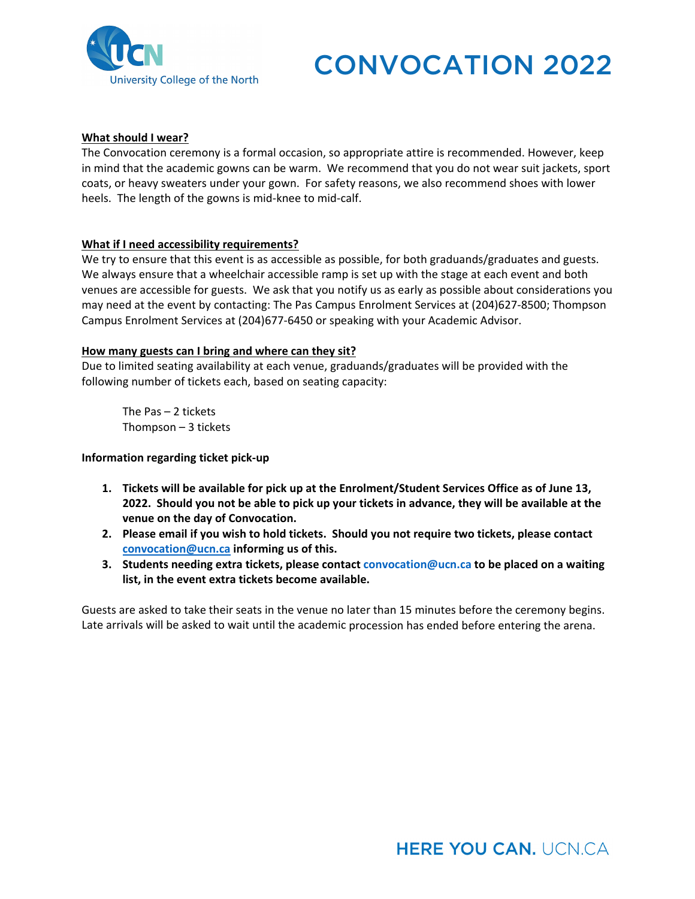

# **What should I wear?**

The Convocation ceremony is a formal occasion, so appropriate attire is recommended. However, keep in mind that the academic gowns can be warm. We recommend that you do not wear suit jackets, sport coats, or heavy sweaters under your gown. For safety reasons, we also recommend shoes with lower heels. The length of the gowns is mid-knee to mid-calf.

# **What if I need accessibility requirements?**

We try to ensure that this event is as accessible as possible, for both graduands/graduates and guests. We always ensure that a wheelchair accessible ramp is set up with the stage at each event and both venues are accessible for guests. We ask that you notify us as early as possible about considerations you may need at the event by contacting: The Pas Campus Enrolment Services at (204)627‐8500; Thompson Campus Enrolment Services at (204)677‐6450 or speaking with your Academic Advisor.

# **How many guests can I bring and where can they sit?**

Due to limited seating availability at each venue, graduands/graduates will be provided with the following number of tickets each, based on seating capacity:

 The Pas – 2 tickets Thompson – 3 tickets

# **Information regarding ticket pick‐up**

- **1. Tickets will be available for pick up at the Enrolment/Student Services Office as of June 13,** 2022. Should you not be able to pick up your tickets in advance, they will be available at the **venue on the day of Convocation.**
- **2. Please email if you wish to hold tickets. Should you not require two tickets, please contact convocation@ucn.ca informing us of this.**
- **3. Students needing extra tickets, please contact convocation@ucn.ca to be placed on a waiting list, in the event extra tickets become available.**

Guests are asked to take their seats in the venue no later than 15 minutes before the ceremony begins. Late arrivals will be asked to wait until the academic procession has ended before entering the arena.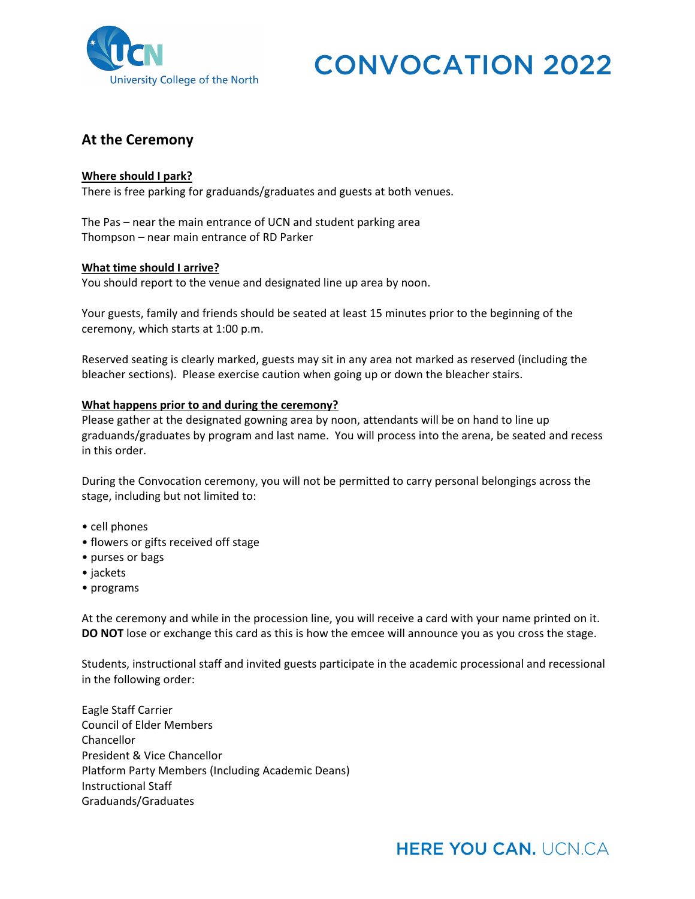

# **At the Ceremony**

# **Where should I park?**

There is free parking for graduands/graduates and guests at both venues.

The Pas – near the main entrance of UCN and student parking area Thompson – near main entrance of RD Parker

#### **What time should I arrive?**

You should report to the venue and designated line up area by noon.

Your guests, family and friends should be seated at least 15 minutes prior to the beginning of the ceremony, which starts at 1:00 p.m.

Reserved seating is clearly marked, guests may sit in any area not marked as reserved (including the bleacher sections). Please exercise caution when going up or down the bleacher stairs.

# **What happens prior to and during the ceremony?**

Please gather at the designated gowning area by noon, attendants will be on hand to line up graduands/graduates by program and last name. You will process into the arena, be seated and recess in this order.

During the Convocation ceremony, you will not be permitted to carry personal belongings across the stage, including but not limited to:

- cell phones
- flowers or gifts received off stage
- purses or bags
- jackets
- programs

At the ceremony and while in the procession line, you will receive a card with your name printed on it. **DO NOT** lose or exchange this card as this is how the emcee will announce you as you cross the stage.

Students, instructional staff and invited guests participate in the academic processional and recessional in the following order:

Eagle Staff Carrier Council of Elder Members Chancellor President & Vice Chancellor Platform Party Members (Including Academic Deans) Instructional Staff Graduands/Graduates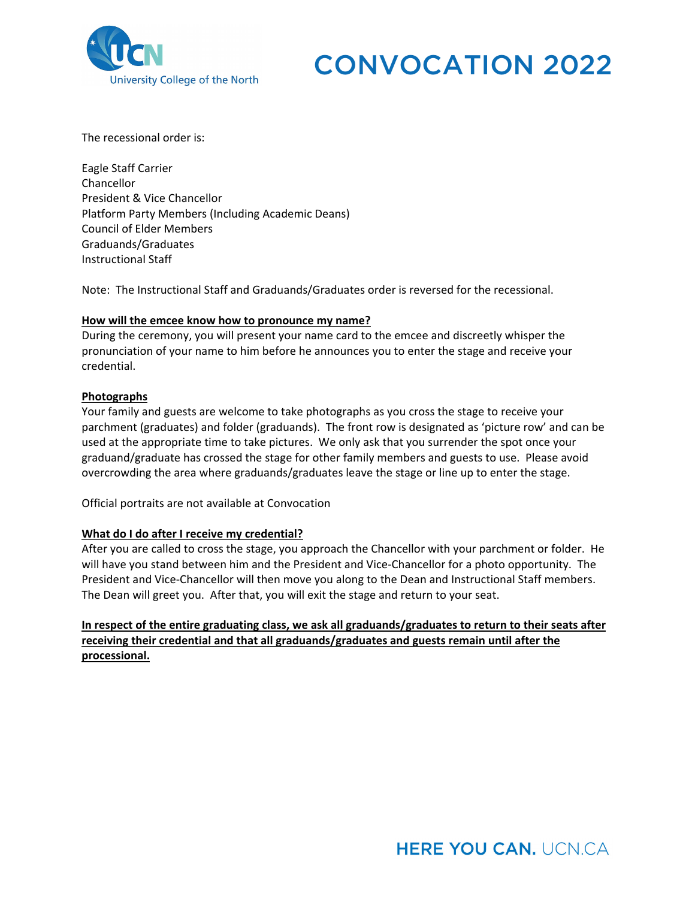

The recessional order is:

Eagle Staff Carrier Chancellor President & Vice Chancellor Platform Party Members (Including Academic Deans) Council of Elder Members Graduands/Graduates Instructional Staff

Note: The Instructional Staff and Graduands/Graduates order is reversed for the recessional.

# **How will the emcee know how to pronounce my name?**

During the ceremony, you will present your name card to the emcee and discreetly whisper the pronunciation of your name to him before he announces you to enter the stage and receive your credential.

# **Photographs**

Your family and guests are welcome to take photographs as you cross the stage to receive your parchment (graduates) and folder (graduands). The front row is designated as 'picture row' and can be used at the appropriate time to take pictures. We only ask that you surrender the spot once your graduand/graduate has crossed the stage for other family members and guests to use. Please avoid overcrowding the area where graduands/graduates leave the stage or line up to enter the stage.

Official portraits are not available at Convocation

#### **What do I do after I receive my credential?**

After you are called to cross the stage, you approach the Chancellor with your parchment or folder. He will have you stand between him and the President and Vice-Chancellor for a photo opportunity. The President and Vice‐Chancellor will then move you along to the Dean and Instructional Staff members. The Dean will greet you. After that, you will exit the stage and return to your seat.

**In respect of the entire graduating class, we ask all graduands/graduates to return to their seats after receiving their credential and that all graduands/graduates and guests remain until after the processional.**